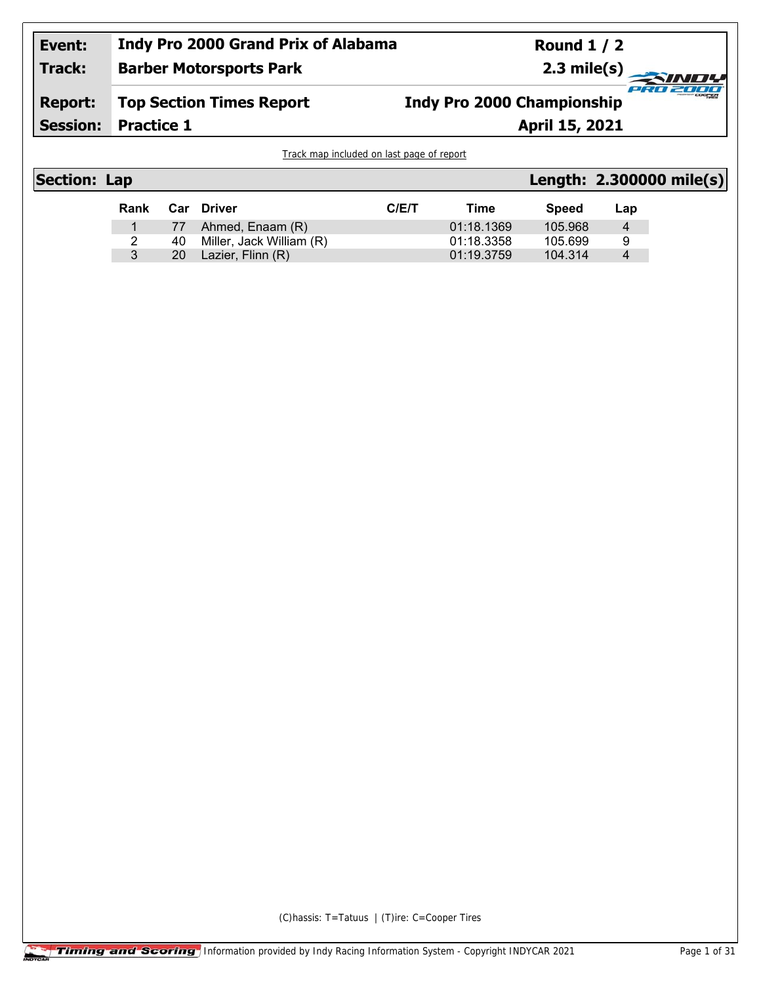#### **Indy Pro 2000 Grand Prix of Alabama Event: Round 1 / 2 Track: Barber Motorsports Park 2.3 mile(s)** *IND!* PRO 2000 **Report: Top Section Times Report Indy Pro 2000 ChampionshipPractice 1 April 15, 2021 Session:**

Track map included on last page of report

| <b>Section: Lap</b> |      |    |                          |      |            |         |     | Length: 2.300000 mile(s) |
|---------------------|------|----|--------------------------|------|------------|---------|-----|--------------------------|
|                     | Rank |    | Car Driver               | C/ET | Time       | Speed   | Lap |                          |
|                     |      | 77 | Ahmed, Enaam (R)         |      | 01:18.1369 | 105.968 | 4   |                          |
|                     |      | 40 | Miller, Jack William (R) |      | 01:18.3358 | 105.699 | 9   |                          |
|                     | 3    | 20 | Lazier, Flinn (R)        |      | 01:19.3759 | 104.314 | 4   |                          |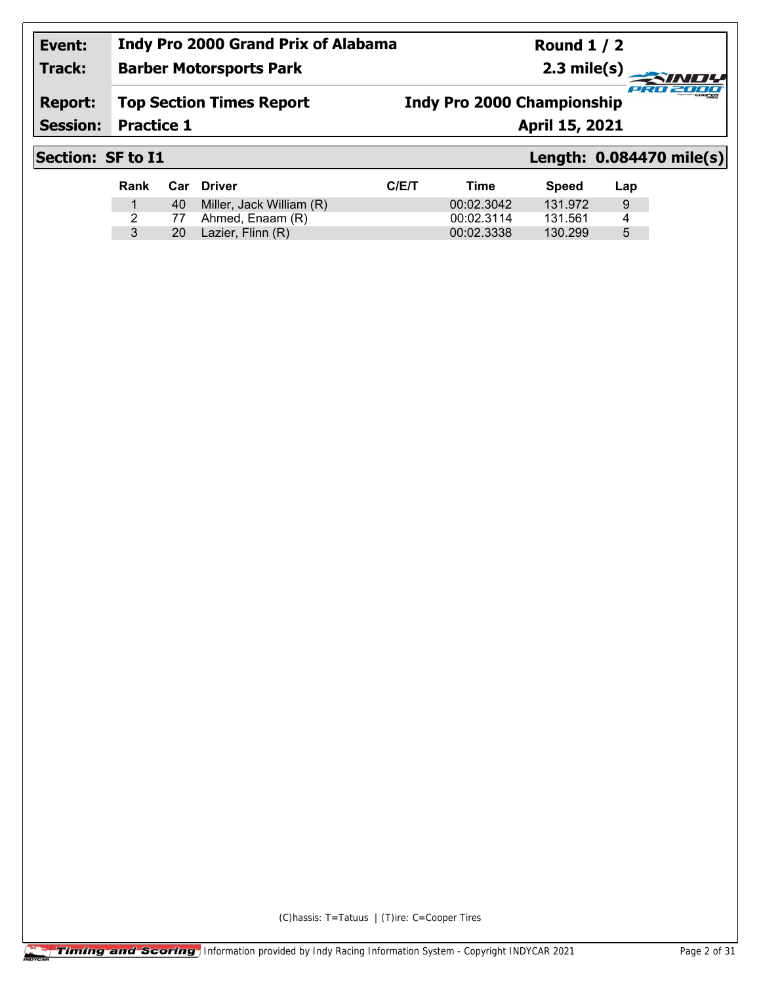**Barber Motorsports Park**

**Round 1 / 2 2.3 mile(s)**

## **Report: Top Section Times Report**

**Indy Pro 2000 Championship**

**Session:**

**Practice 1 April 15, 2021** 

**Track:**

# **Section: SF to I1 Length: 0.084470 mile(s)**

cian.

-7777

| Rank |     | Car Driver               | C/ET | Time       | <b>Speed</b> | Lap |
|------|-----|--------------------------|------|------------|--------------|-----|
|      | 40  | Miller, Jack William (R) |      | 00:02.3042 | 131.972      | 9   |
|      |     | 77 Ahmed, Enaam (R)      |      | 00:02.3114 | 131.561      | 4   |
|      | 20. | Lazier, Flinn (R)        |      | 00:02.3338 | 130.299      | 5   |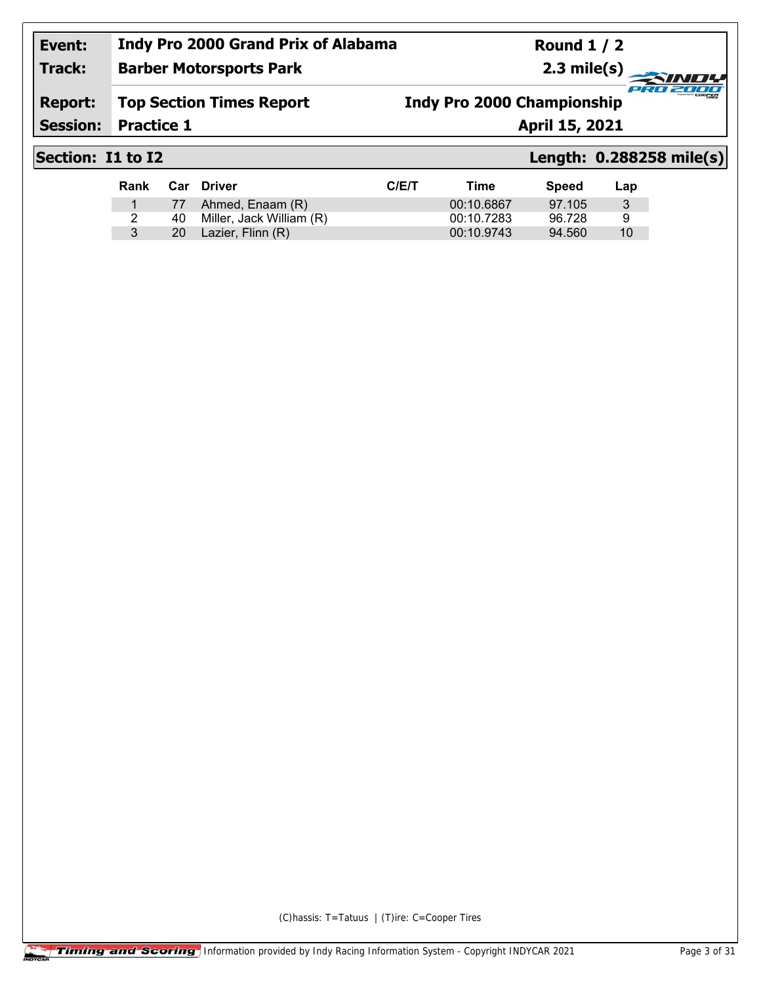#### **Event: Track: Indy Pro 2000 Grand Prix of Alabama Barber Motorsports Park**

**Round 1 / 2 2.3 mile(s)**

### **Report: Top Section Times Report**

**Indy Pro 2000 Championship**

**Session:**

**Practice 1 April 15, 2021** 

## **Section: I1 to I2 Length: 0.288258 mile(s)**

cian.

27777

| Rank |      | Car Driver               | C/ET | Time       | Speed  | Lap |
|------|------|--------------------------|------|------------|--------|-----|
|      |      | 77 Ahmed, Enaam (R)      |      | 00:10.6867 | 97.105 | 3   |
|      | 40.  | Miller, Jack William (R) |      | 00:10.7283 | 96.728 | 9   |
|      | 20 l | Lazier, Flinn (R)        |      | 00:10.9743 | 94.560 | 10  |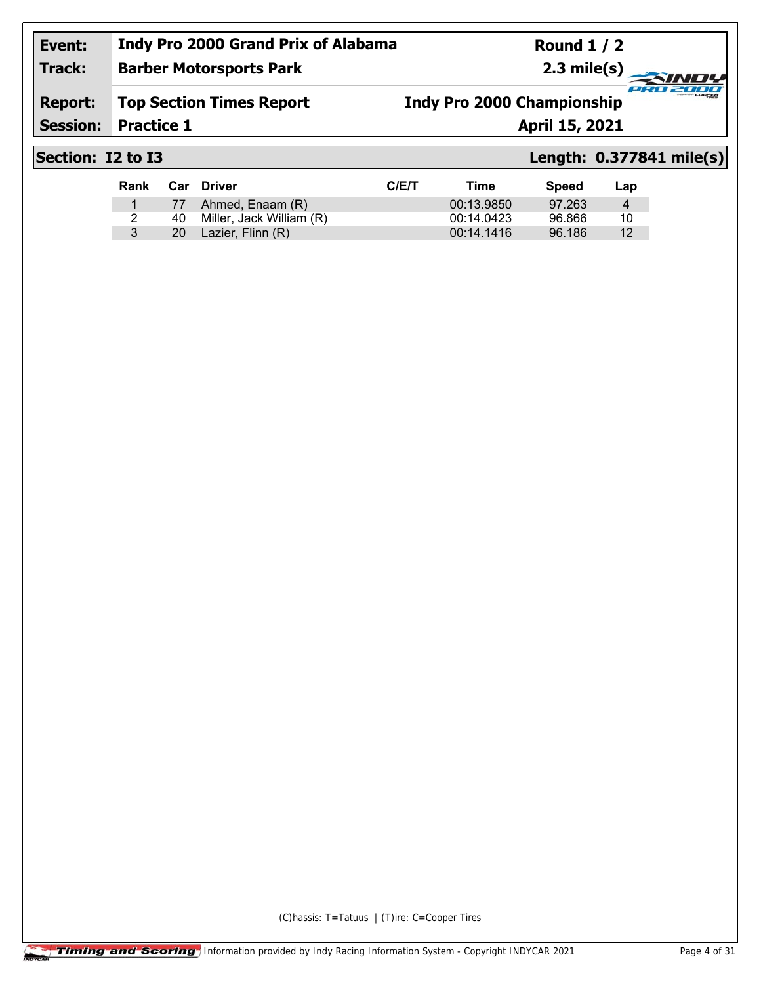**Barber Motorsports Park**

**Round 1 / 2 2.3 mile(s)**

## **Report: Top Section Times Report**

**Indy Pro 2000 Championship**

**Session:**

**Practice 1 April 15, 2021** 

**Track:**

# **Section: I2 to I3 Length: 0.377841 mile(s)**

cian.

27777

| Rank |     | <b>Car Driver</b>        | C/E/T | Time       | <b>Speed</b> | Lap |
|------|-----|--------------------------|-------|------------|--------------|-----|
|      |     | 77 Ahmed, Enaam (R)      |       | 00:13.9850 | 97.263       | 4   |
|      | 40. | Miller, Jack William (R) |       | 00:14.0423 | 96.866       | 10  |
|      | 20  | Lazier, Flinn (R)        |       | 00:14.1416 | 96.186       | 12  |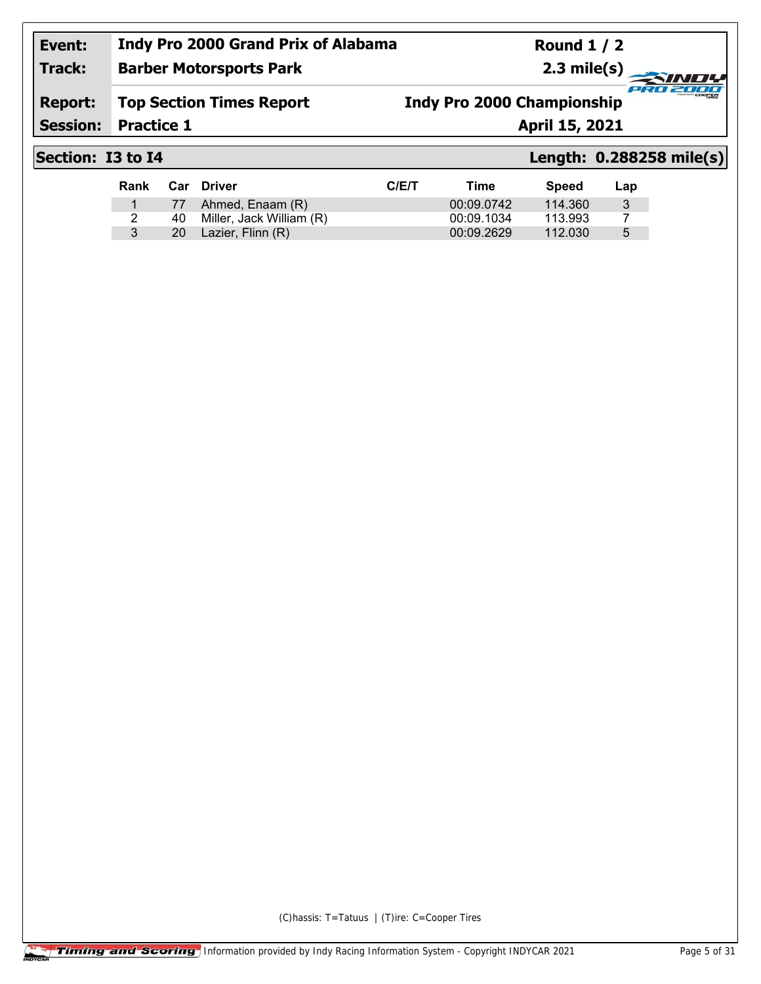**Round 1 / 2 2.3 mile(s)**

## **Track: Barber Motorsports Park**

**Report: Top Section Times Report** **Indy Pro 2000 Championship**

**Session:**

**Practice 1 April 15, 2021** 

## **Section: I3 to I4 Length: 0.288258 mile(s)**

cian.

27777

| Rank | Car  | Driver                   | C/ET | Time       | <b>Speed</b> | Lap |
|------|------|--------------------------|------|------------|--------------|-----|
|      |      | 77 Ahmed, Enaam (R)      |      | 00:09.0742 | 114.360      | 3   |
|      | 40.  | Miller, Jack William (R) |      | 00:09.1034 | 113.993      |     |
|      | 20 - | Lazier, Flinn (R)        |      | 00:09.2629 | 112.030      | 5   |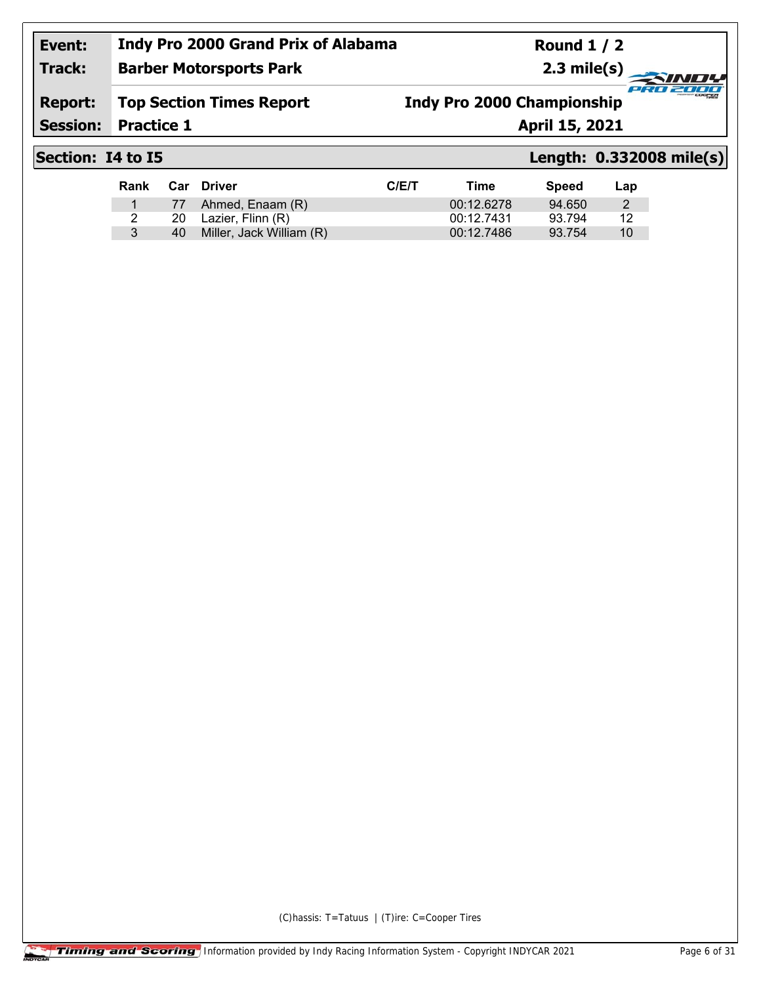#### **Indy Pro 2000 Grand Prix of Alabama Round 1 / 2 Event: Track: Barber Motorsports Park 2.3 mile(s)** PRO 2000 **Report: Top Section Times Report Indy Pro 2000 ChampionshipSession: Practice 1 April 15, 2021**

Rank Car Driver **CIEL CIEL CONTROL** Time Speed Lap 1 77 Ahmed, Enaam (R) 00:12.6278 94.650 2

3 40 Miller, Jack William (R) 00:12.7486 93.754 10

2 20 Lazier, Flinn (R) 00:12.7431 93.794

## **Section: I4 to I5 Length: 0.332008 mile(s)**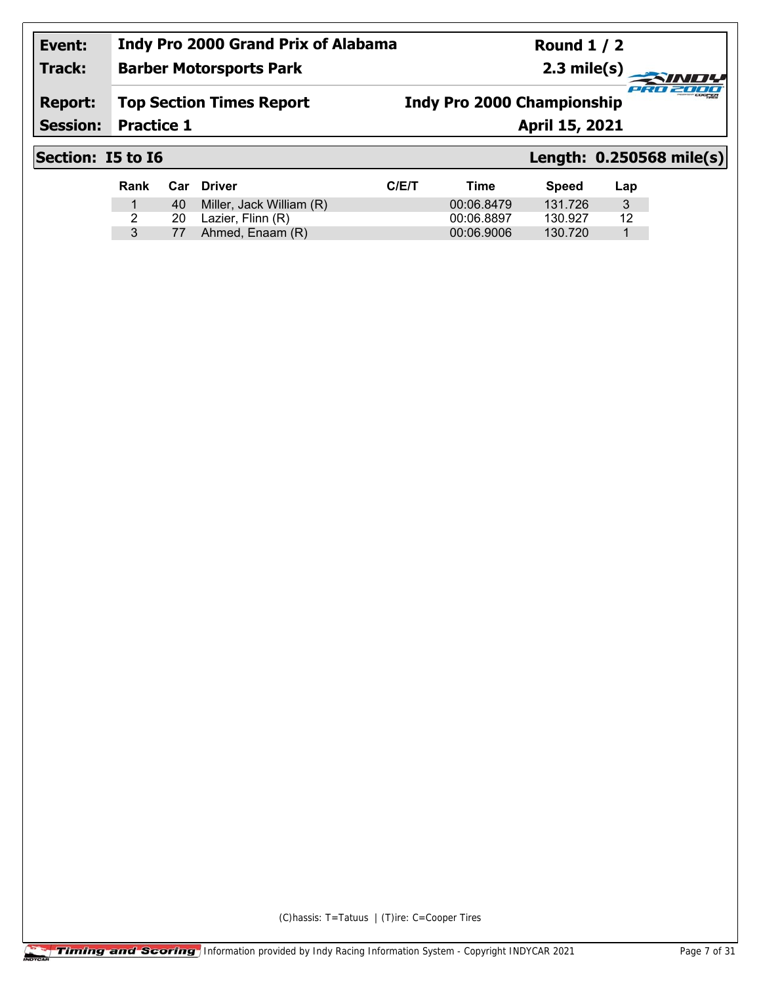**Barber Motorsports Park**

**Round 1 / 2 2.3 mile(s)**

## **Report: Top Section Times Report**

**Indy Pro 2000 Championship**

**Session:**

**Practice 1 April 15, 2021** 

**Track:**

# **Section: I5 to I6 Length: 0.250568 mile(s)**

cian.

2000

| Rank |    | Car Driver               | C/ET | Time       | Speed   | Lap |
|------|----|--------------------------|------|------------|---------|-----|
|      | 40 | Miller, Jack William (R) |      | 00:06.8479 | 131.726 | 3   |
|      | 20 | Lazier, Flinn (R)        |      | 00:06.8897 | 130.927 | 12  |
|      | 77 | Ahmed, Enaam (R)         |      | 00:06.9006 | 130.720 |     |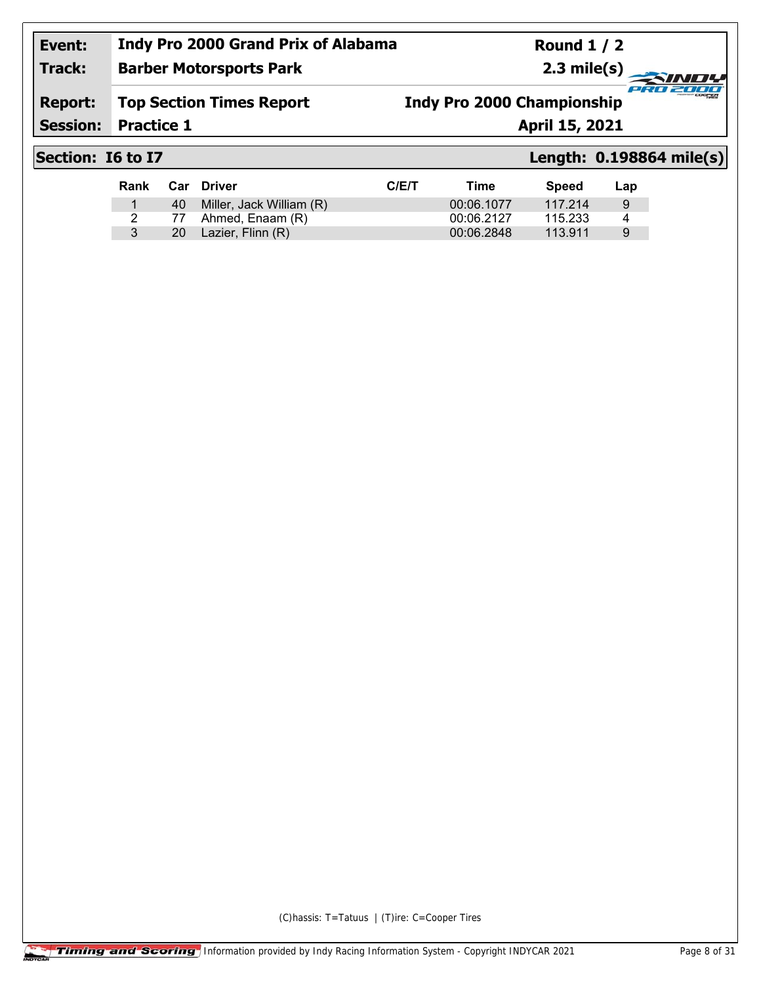**Barber Motorsports Park**

**Round 1 / 2 2.3 mile(s)**

## **Report: Top Section Times Report**

**Indy Pro 2000 Championship**

**Session:**

**Practice 1 April 15, 2021** 

**Track:**

# **Section: I6 to I7 Length: 0.198864 mile(s)**

cian.

27777

| Rank |     | Car Driver               | C/ET | Time       | Speed   | Lap |
|------|-----|--------------------------|------|------------|---------|-----|
|      | 40. | Miller, Jack William (R) |      | 00:06.1077 | 117.214 | 9   |
|      |     | 77 Ahmed, Enaam (R)      |      | 00:06.2127 | 115.233 | 4   |
|      | 20  | Lazier, Flinn (R)        |      | 00:06.2848 | 113.911 | 9   |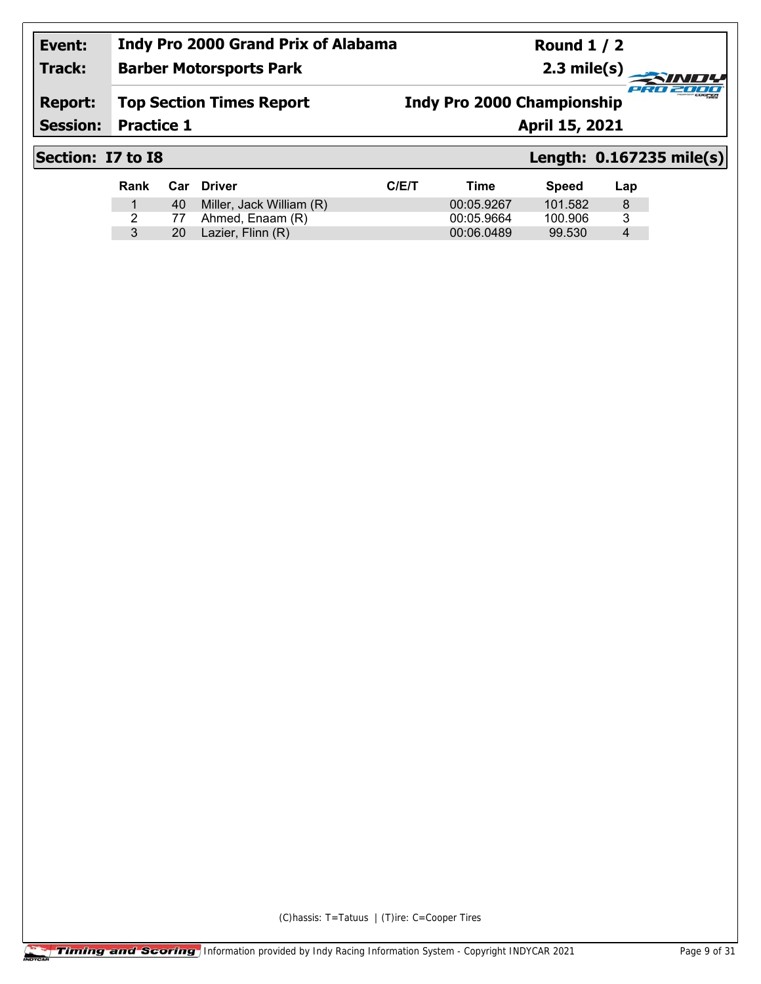**Round 1 / 2 2.3 mile(s)**

### **Track: Barber Motorsports Park**

**Report: Top Section Times Report** **Indy Pro 2000 Championship**

**Session:**

**Practice 1 April 15, 2021** 

# **Section: I7 to I8 Length: 0.167235 mile(s)**

cian.

2000

| Rank | Car Driver                  | C/ET | Time       | <b>Speed</b> | Lap |
|------|-----------------------------|------|------------|--------------|-----|
|      | 40 Miller, Jack William (R) |      | 00:05.9267 | 101.582      | 8   |
|      | 77 Ahmed, Enaam (R)         |      | 00:05.9664 | 100.906      | 3   |
|      | 20 Lazier, Flinn (R)        |      | 00:06.0489 | 99.530       | 4   |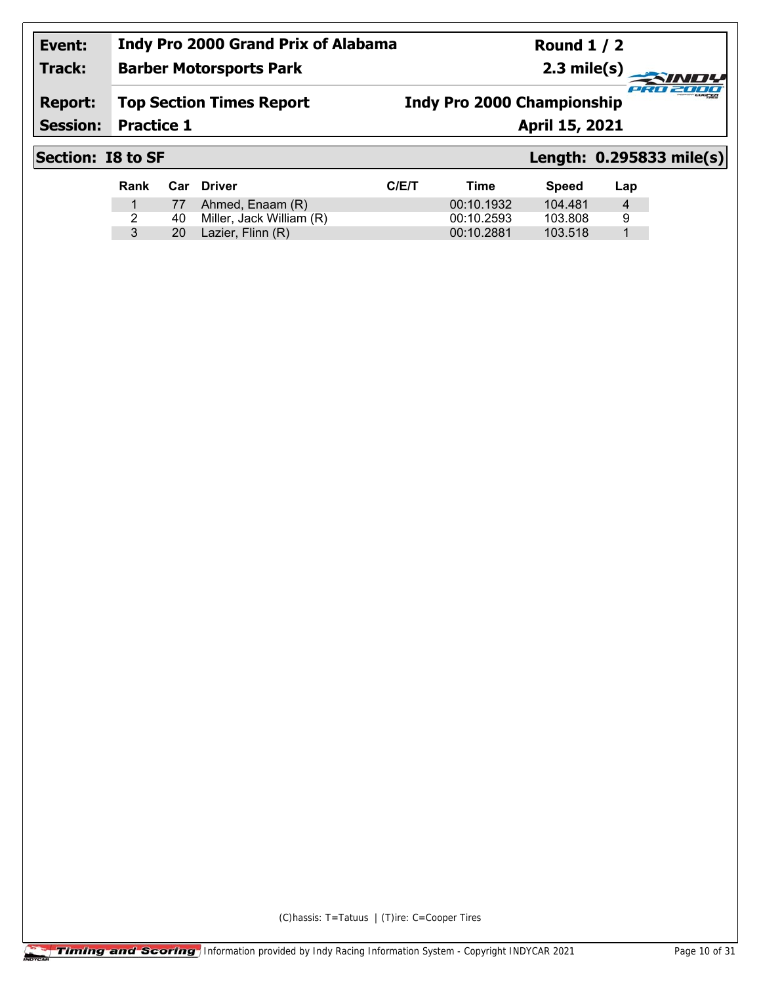**Barber Motorsports Park**

**Round 1 / 2 2.3 mile(s)**

### **Report: Top Section Times Report**

**Indy Pro 2000 Championship**

**Session:**

**Practice 1 April 15, 2021** 

**Track:**

## **Section: I8 to SF Length: 0.295833 mile(s)**

cian.

-7777

| Rank |      | Car Driver               | C/ET | Time       | Speed   | Lap |
|------|------|--------------------------|------|------------|---------|-----|
|      |      | 77 Ahmed, Enaam (R)      |      | 00:10.1932 | 104.481 | 4   |
|      | 40.  | Miller, Jack William (R) |      | 00:10.2593 | 103.808 | g   |
|      | 20 - | Lazier, Flinn (R)        |      | 00:10.2881 | 103.518 |     |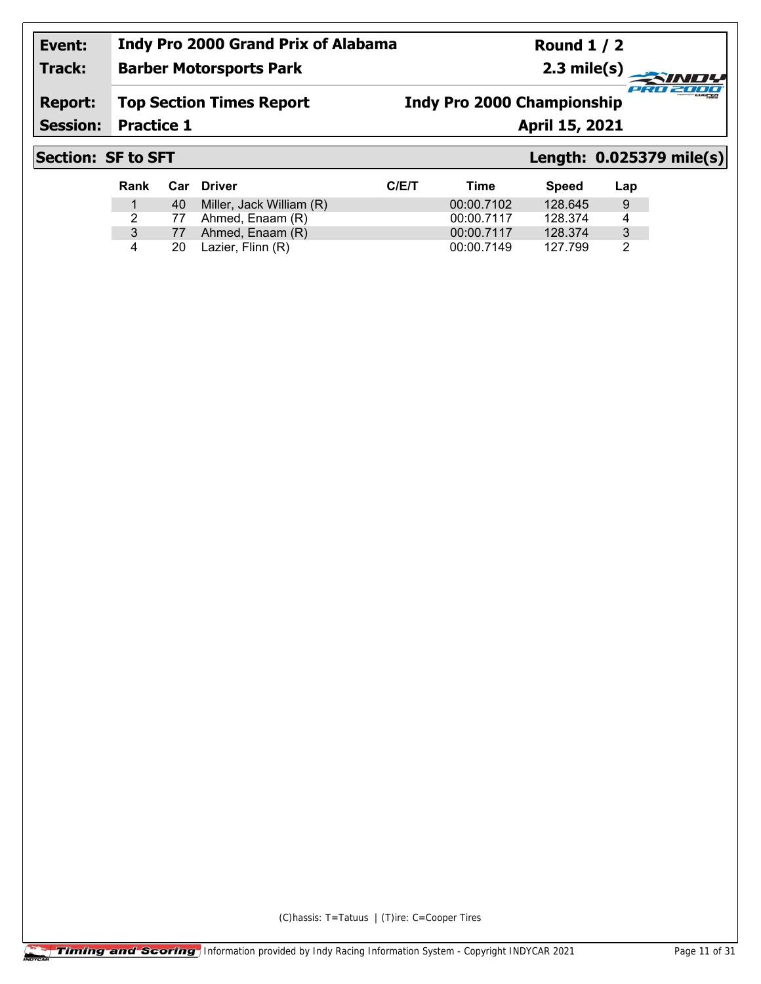**Track: Barber Motorsports Park** **Round 1 / 2 2.3 mile(s)**

**Report: Top Section Times Report**

**Indy Pro 2000 Championship**

**Session:**

**Practice 1 April 15, 2021** 

# **Section: SF to SFT Length: 0.025379 mile(s)**

cian.

-7777

| Rank |     | Car Driver                  | C/ET | Time       | <b>Speed</b> | Lap |
|------|-----|-----------------------------|------|------------|--------------|-----|
|      |     | 40 Miller, Jack William (R) |      | 00:00.7102 | 128.645      | 9   |
|      | 77  | Ahmed, Enaam (R)            |      | 00:00.7117 | 128.374      | 4   |
| 3    |     | 77 Ahmed, Enaam (R)         |      | 00:00.7117 | 128.374      | -3  |
| 4    | 20. | Lazier, Flinn (R)           |      | 00:00.7149 | 127.799      | 2   |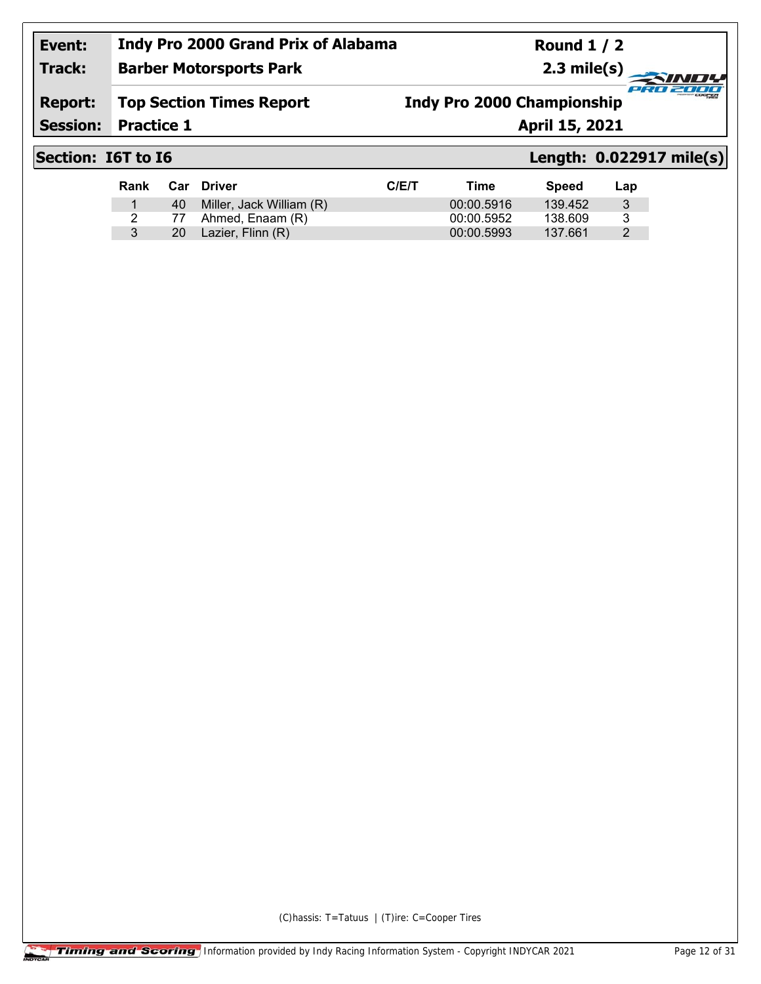**Round 1 / 2 2.3 mile(s)**

### **Track: Barber Motorsports Park**

**Report: Top Section Times Report** **Indy Pro 2000 Championship**

**Session:**

**Practice 1 April 15, 2021** 

# **Section: I6T to I6 Length: 0.022917 mile(s)**

cian.

2000

| Rank |      | <b>Car Driver</b>           | C/ET | Time       | <b>Speed</b> | Lap |
|------|------|-----------------------------|------|------------|--------------|-----|
|      |      | 40 Miller, Jack William (R) |      | 00:00.5916 | 139.452      | 3   |
|      | 77   | Ahmed, Enaam (R)            |      | 00:00.5952 | 138.609      | 3   |
|      | 20 - | Lazier, Flinn (R)           |      | 00:00.5993 | 137.661      |     |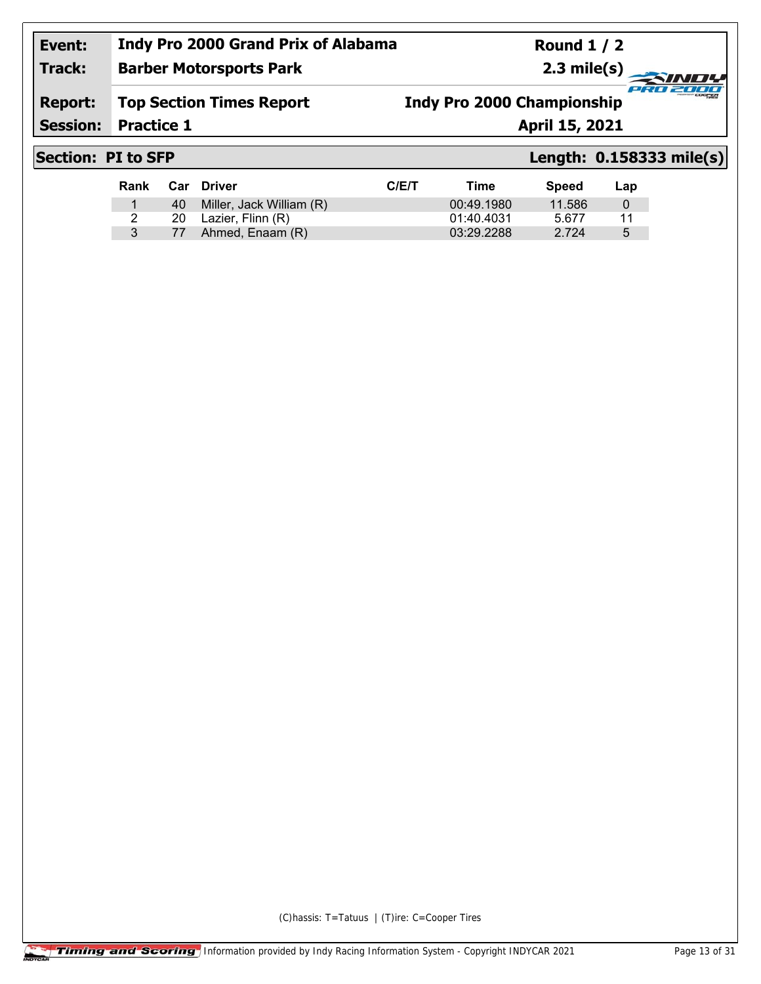## **Event: Indy Pro 2000 Grand Prix of Alabama Barber Motorsports Park**

**Round 1 / 2 2.3 mile(s)**

#### **Report: Top Section Times Report**

**Indy Pro 2000 Championship**

**Session:**

**Practice 1 April 15, 2021** 

**Track:**

## **Section: PI to SFP Length: 0.158333 mile(s)**

cian.

2000

| Rank |    | Car Driver                  | C/ET | Time       | Speed  | Lap |
|------|----|-----------------------------|------|------------|--------|-----|
|      |    | 40 Miller, Jack William (R) |      | 00:49.1980 | 11.586 |     |
|      |    | 20 Lazier, Flinn (R)        |      | 01:40.4031 | 5.677  | 11  |
|      | 77 | Ahmed, Enaam (R)            |      | 03:29.2288 | 2.724  | 5   |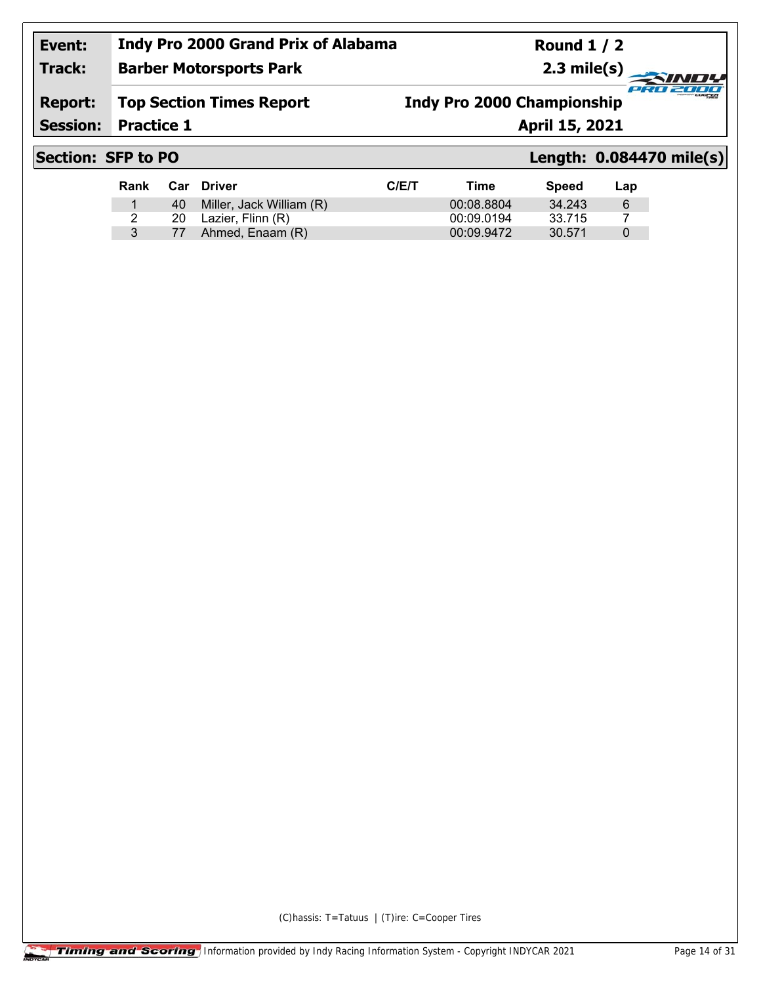**Barber Motorsports Park**

**Round 1 / 2 2.3 mile(s)**

## **Report: Top Section Times Report**

**Indy Pro 2000 Championship**

**Session:**

**Practice 1 April 15, 2021** 

**Track:**

## **Section: SFP to PO Length: 0.084470 mile(s)**

cian.

2000

| Rank |    | <b>Car Driver</b>        | C/E/T | Time       | Speed  | Lap      |
|------|----|--------------------------|-------|------------|--------|----------|
|      | 40 | Miller, Jack William (R) |       | 00:08.8804 | 34.243 | -6       |
|      |    | 20 Lazier, Flinn (R)     |       | 00:09.0194 | 33.715 |          |
|      | 77 | Ahmed, Enaam (R)         |       | 00:09.9472 | 30.571 | $\Omega$ |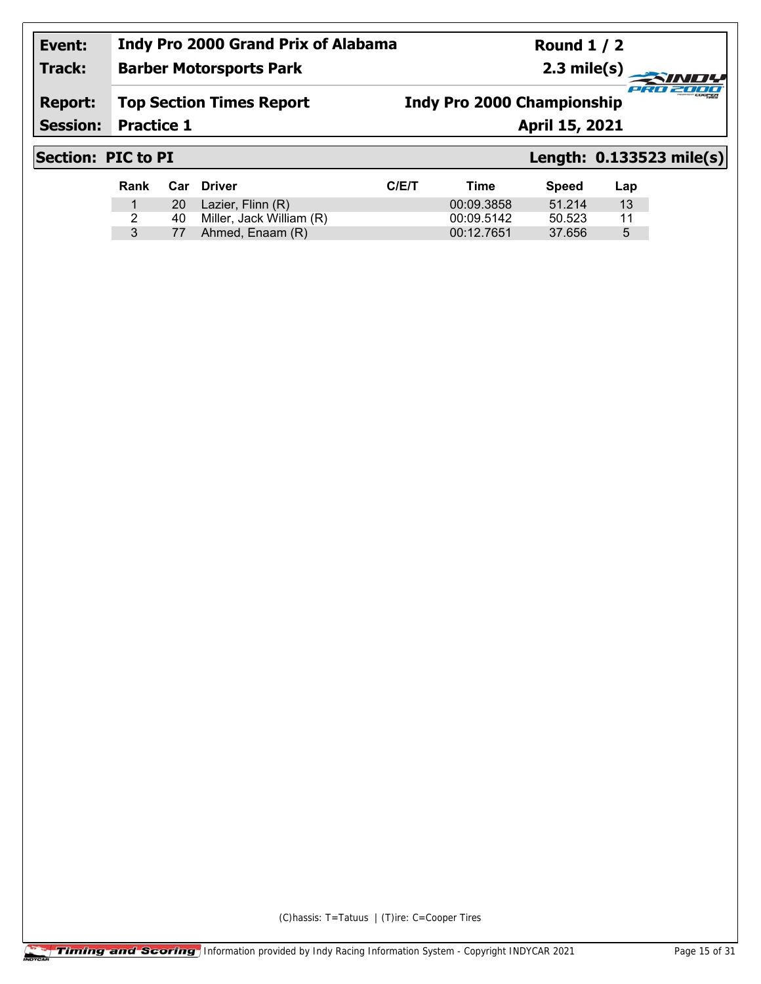## **Event: Indy Pro 2000 Grand Prix of Alabama Barber Motorsports Park**

**Round 1 / 2 2.3 mile(s)**

## **Report: Top Section Times Report**

**Indy Pro 2000 Championship**

**Session:**

**Practice 1 April 15, 2021** 

**Track:**

# **Section: PIC to PI Length: 0.133523 mile(s)**

cian.

2000

| Rank |    | Car Driver               | C/ET | Time       | Speed  | Lap |
|------|----|--------------------------|------|------------|--------|-----|
|      |    | 20 Lazier, Flinn (R)     |      | 00:09.3858 | 51.214 | 13  |
| 2    | 40 | Miller, Jack William (R) |      | 00:09.5142 | 50.523 | 11  |
| 3    | 77 | Ahmed, Enaam (R)         |      | 00:12.7651 | 37.656 | 5   |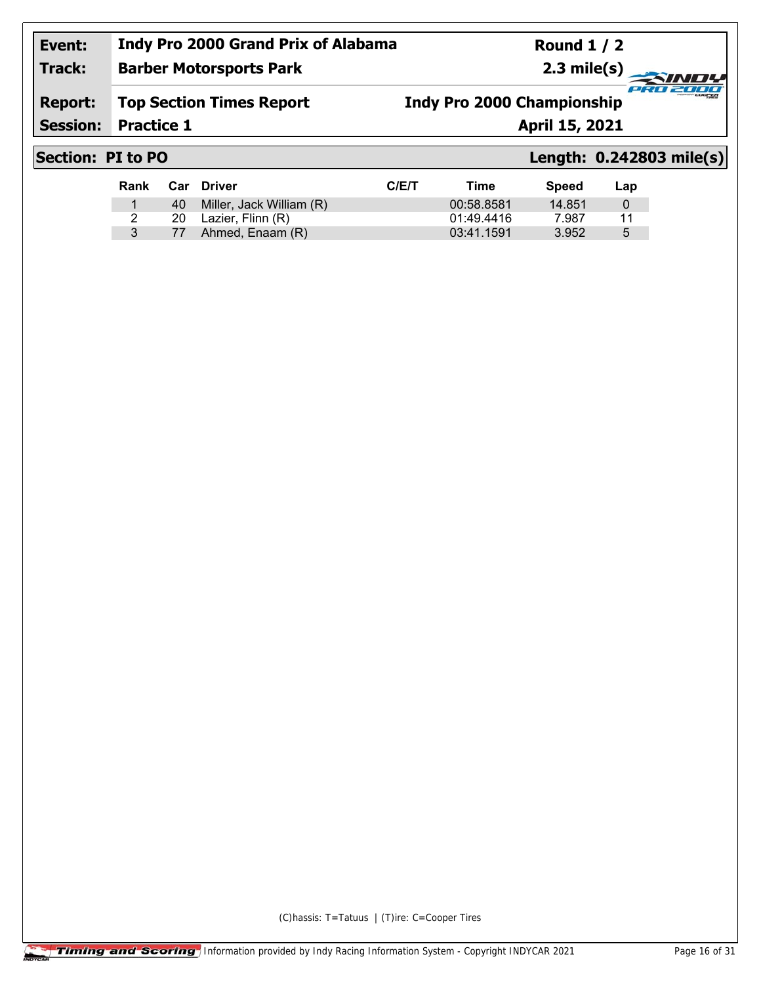**Round 1 / 2 2.3 mile(s)**

## **Track: Barber Motorsports Park**

**Report: Top Section Times Report** **Indy Pro 2000 Championship**

**Session:**

**Practice 1 April 15, 2021** 

## **Section: PI to PO Length: 0.242803 mile(s)**

cian.

27777

| Rank |    | Car Driver               | C/ET | Time       | Speed  | Lap |
|------|----|--------------------------|------|------------|--------|-----|
|      | 40 | Miller, Jack William (R) |      | 00:58.8581 | 14.851 |     |
|      | 20 | Lazier, Flinn (R)        |      | 01:49.4416 | 7.987  | 11  |
|      | 77 | Ahmed, Enaam (R)         |      | 03:41.1591 | 3.952  | 5   |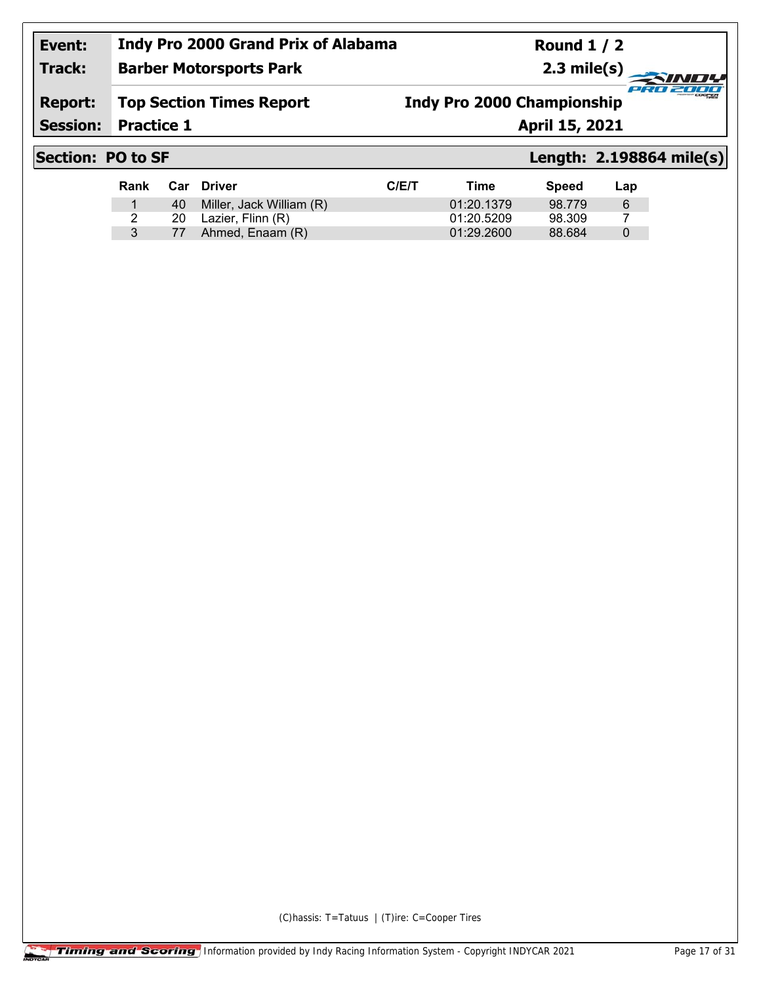**Round 1 / 2 2.3 mile(s)**

### **Track: Barber Motorsports Park**

**Report: Top Section Times Report** **Indy Pro 2000 Championship**

**Session:**

**Practice 1 April 15, 2021** 

## **Section: PO to SF Length: 2.198864 mile(s)**

cian.

27777

| Rank |      | Car Driver               | C/ET | Time       | <b>Speed</b> | Lap      |
|------|------|--------------------------|------|------------|--------------|----------|
|      | 40 l | Miller, Jack William (R) |      | 01:20.1379 | 98.779       | -6       |
|      | 20   | Lazier, Flinn (R)        |      | 01:20.5209 | 98.309       |          |
|      | 77   | Ahmed, Enaam (R)         |      | 01:29.2600 | 88.684       | $\theta$ |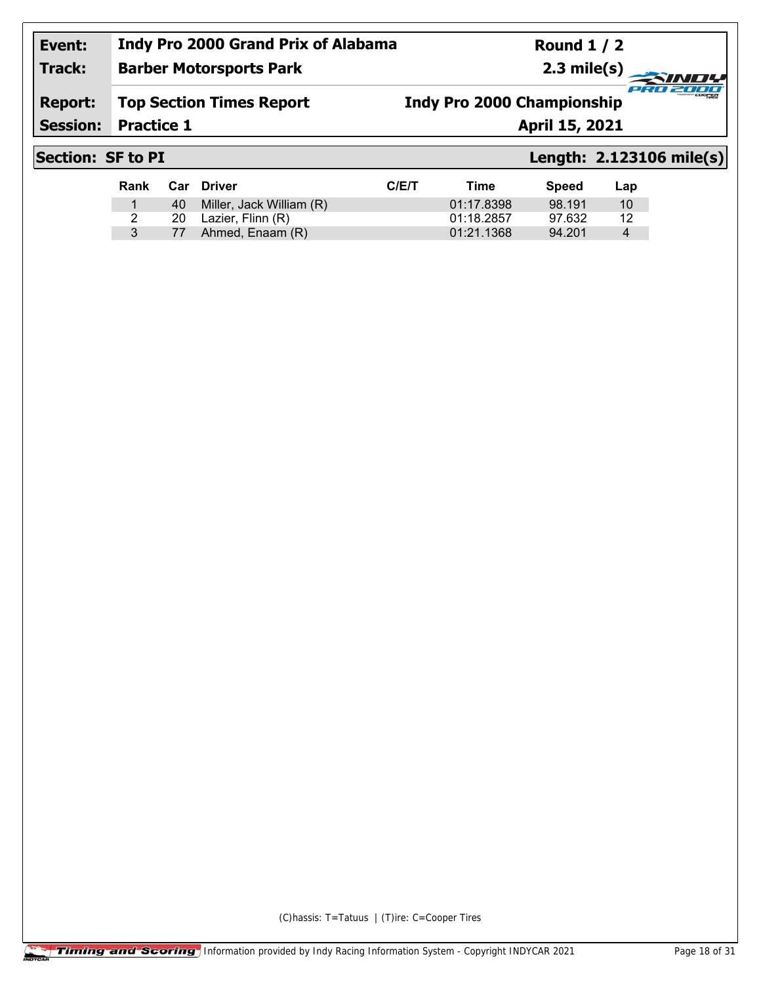#### **Indy Pro 2000 Grand Prix of Alabama Round 1 / 2 Event: Track: 2.3 mile(s) Barber Motorsports Park** PRO 2000 **Report: Top Section Times Report Indy Pro 2000 ChampionshipSession: Practice 1 April 15, 2021**

**Rank Car Driver C/E/T Time Speed Lap** 40 Miller, Jack William (R) 01:17.8398 98.191 10 20 Lazier, Flinn (R) 01:18.2857 97.632 12 77 Ahmed, Enaam (R) 01:21.1368 94.201 4

## **Section: SF to PI Length: 2.123106 mile(s)**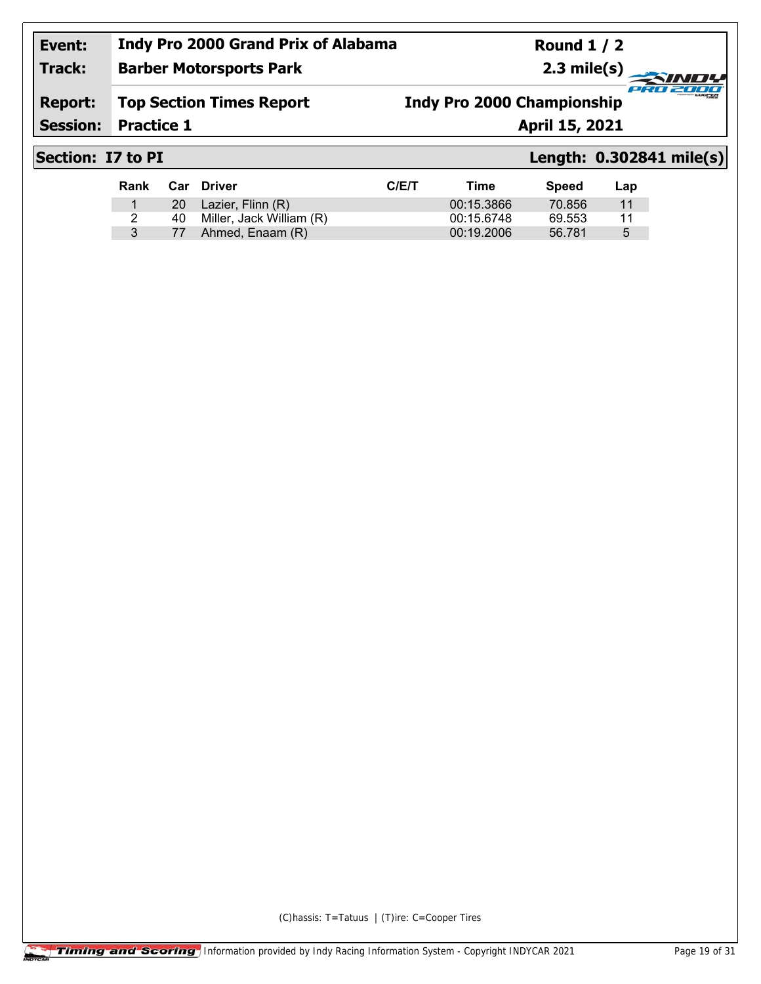## **Event: Indy Pro 2000 Grand Prix of Alabama Barber Motorsports Park**

**Round 1 / 2 2.3 mile(s)**

## **Report: Top Section Times Report**

**Indy Pro 2000 Championship**

**Session:** Practice 1

**Practice 1 April 15, 2021**

**Track:**

# **Section: I7 to PI Length: 0.302841 mile(s)**

cian.

2000

| Rank |           | Car Driver               | C/ET | Time       | <b>Speed</b> | Lap |
|------|-----------|--------------------------|------|------------|--------------|-----|
|      | <b>20</b> | Lazier, Flinn (R)        |      | 00:15.3866 | 70.856       | 11  |
| 2    | 40.       | Miller, Jack William (R) |      | 00:15.6748 | 69.553       | 11  |
|      | 77        | Ahmed, Enaam (R)         |      | 00:19.2006 | 56.781       | 5   |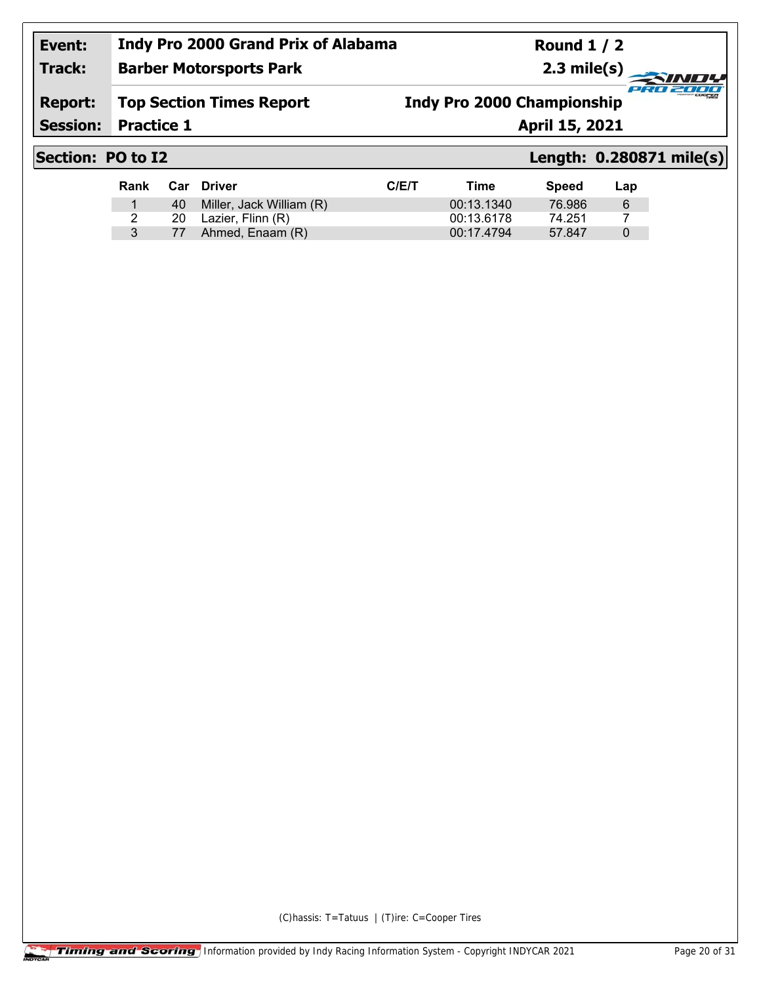#### **Event: Track: Indy Pro 2000 Grand Prix of Alabama Barber Motorsports Park**

**Round 1 / 2 2.3 mile(s)**

### **Report: Top Section Times Report**

**Indy Pro 2000 Championship**

**Session:**

**Practice 1 April 15, 2021** 

## **Section: PO to I2 Length: 0.280871 mile(s)**

cian.

2000

| Rank |    | Car Driver                  | C/ET | Time       | Speed  | Lap |
|------|----|-----------------------------|------|------------|--------|-----|
|      |    | 40 Miller, Jack William (R) |      | 00:13.1340 | 76.986 | -6  |
|      | 20 | Lazier, Flinn (R)           |      | 00:13.6178 | 74.251 |     |
|      | 77 | Ahmed, Enaam (R)            |      | 00:17.4794 | 57.847 | 0   |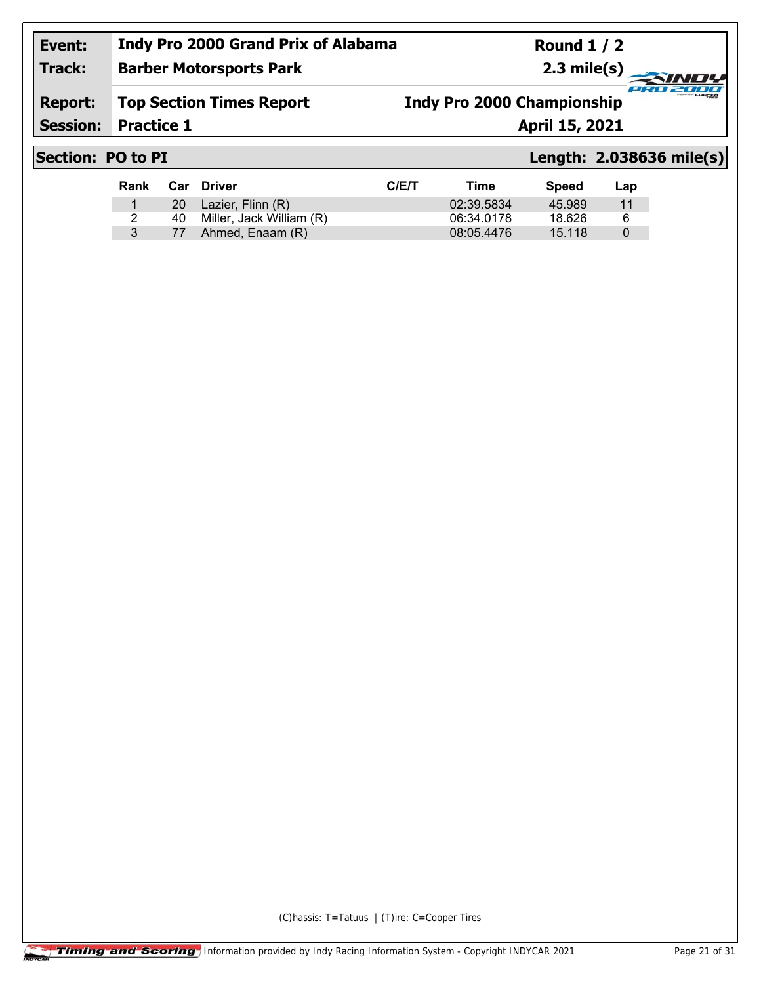## **Event: Indy Pro 2000 Grand Prix of Alabama Barber Motorsports Park**

**Round 1 / 2 2.3 mile(s)**

### **Report: Top Section Times Report**

**Indy Pro 2000 Championship**

**Session:**

**Practice 1 April 15, 2021** 

**Track:**

# **Section: PO to PI Length: 2.038636 mile(s)**

cian.

2000

| Rank |           | Car Driver               | C/ET | Time       | Speed  | Lap |
|------|-----------|--------------------------|------|------------|--------|-----|
|      | <b>20</b> | Lazier, Flinn (R)        |      | 02:39.5834 | 45.989 | 11  |
|      | 40.       | Miller, Jack William (R) |      | 06:34.0178 | 18.626 | 6   |
|      |           | Ahmed, Enaam (R)         |      | 08:05.4476 | 15.118 |     |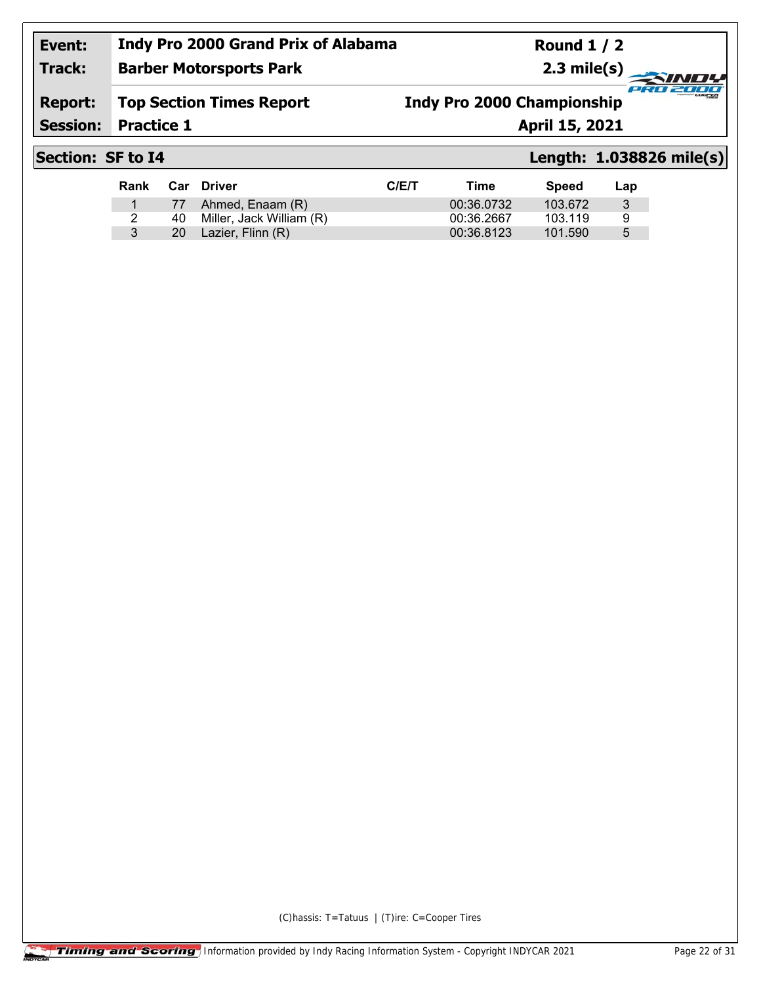#### **Event: Track: Indy Pro 2000 Grand Prix of Alabama Barber Motorsports Park**

**Round 1 / 2 2.3 mile(s)**

## **Report: Top Section Times Report**

**Indy Pro 2000 Championship**

**Session:**

**Practice 1 April 15, 2021** 

# **Section: SF to I4 Length: 1.038826 mile(s)**

coart a

2000

| Rank |           | Car Driver                  | C/ET | Time       | <b>Speed</b> | Lap |
|------|-----------|-----------------------------|------|------------|--------------|-----|
|      |           | 77 Ahmed, Enaam (R)         |      | 00:36.0732 | 103.672      | 3   |
|      |           | 40 Miller, Jack William (R) |      | 00:36.2667 | 103.119      | a   |
|      | <b>20</b> | Lazier, Flinn (R)           |      | 00:36.8123 | 101.590      | 5   |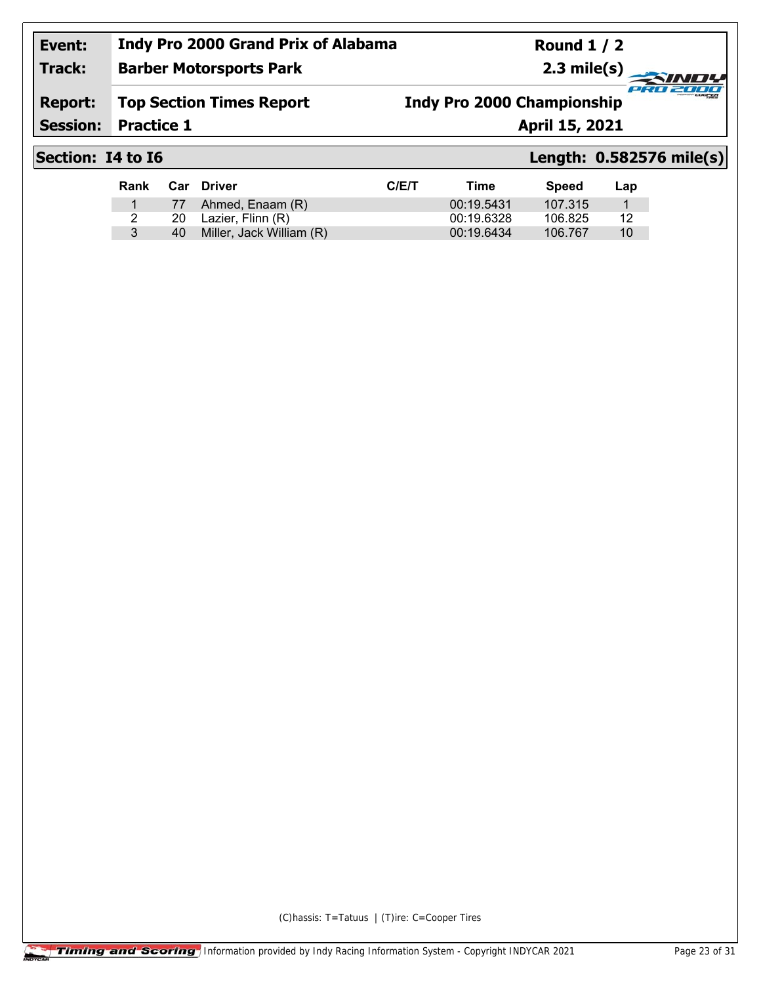#### **Indy Pro 2000 Grand Prix of Alabama Round 1 / 2 Event: Track: 2.3 mile(s) Barber Motorsports Park** PRO 2000 **Report: Top Section Times Report Indy Pro 2000 ChampionshipSession: Practice 1 April 15, 2021**

Rank Car Driver **CIEL CIEL CONTROL** Time Speed Lap 1 77 Ahmed, Enaam (R) 00:19.5431 107.315 1 2 20 Lazier, Flinn (R) 00:19.6328 106.825 12 3 40 Miller, Jack William (R) 00:19.6434 106.767 10

**Section: I4 to I6 Length: 0.582576 mile(s)**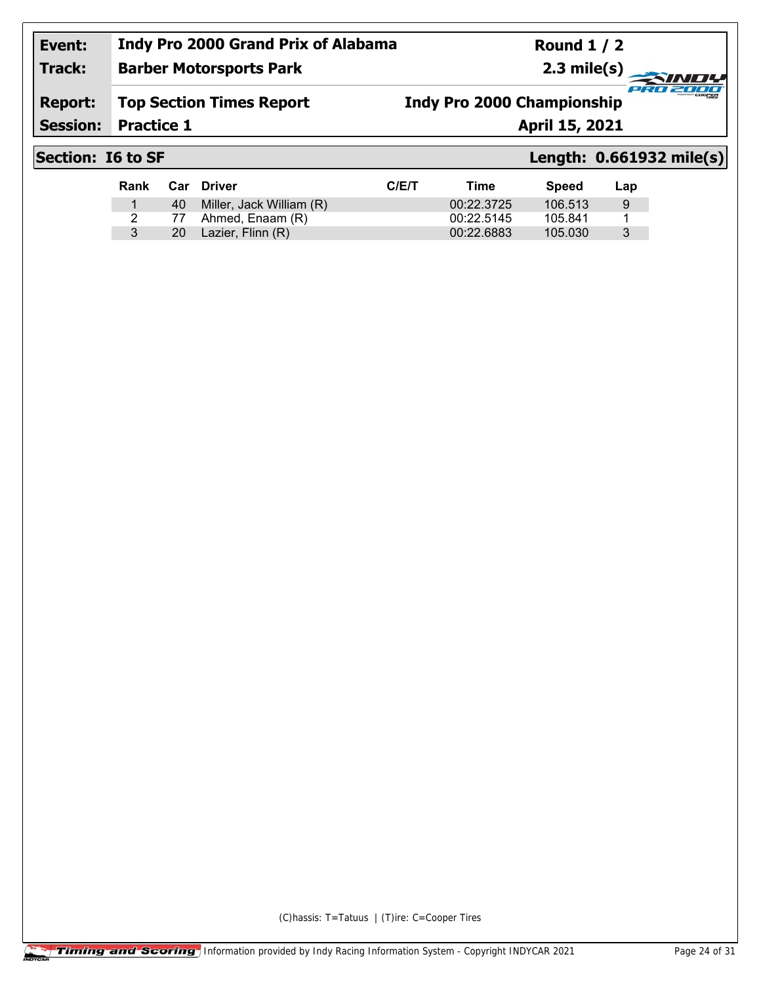**Round 1 / 2 2.3 mile(s)**

#### **Track: Barber Motorsports Park**

**Report: Top Section Times Report** **Indy Pro 2000 Championship**

**Session:**

**Practice 1 April 15, 2021** 

# **Section: I6 to SF Length: 0.661932 mile(s)**

cian.

27777

| Rank | Car Driver                  | C/ET | Time       | <b>Speed</b> | Lap |
|------|-----------------------------|------|------------|--------------|-----|
|      | 40 Miller, Jack William (R) |      | 00:22.3725 | 106.513      | 9   |
|      | 77 Ahmed, Enaam (R)         |      | 00:22.5145 | 105.841      |     |
|      | 20 Lazier, Flinn (R)        |      | 00:22.6883 | 105.030      | 3   |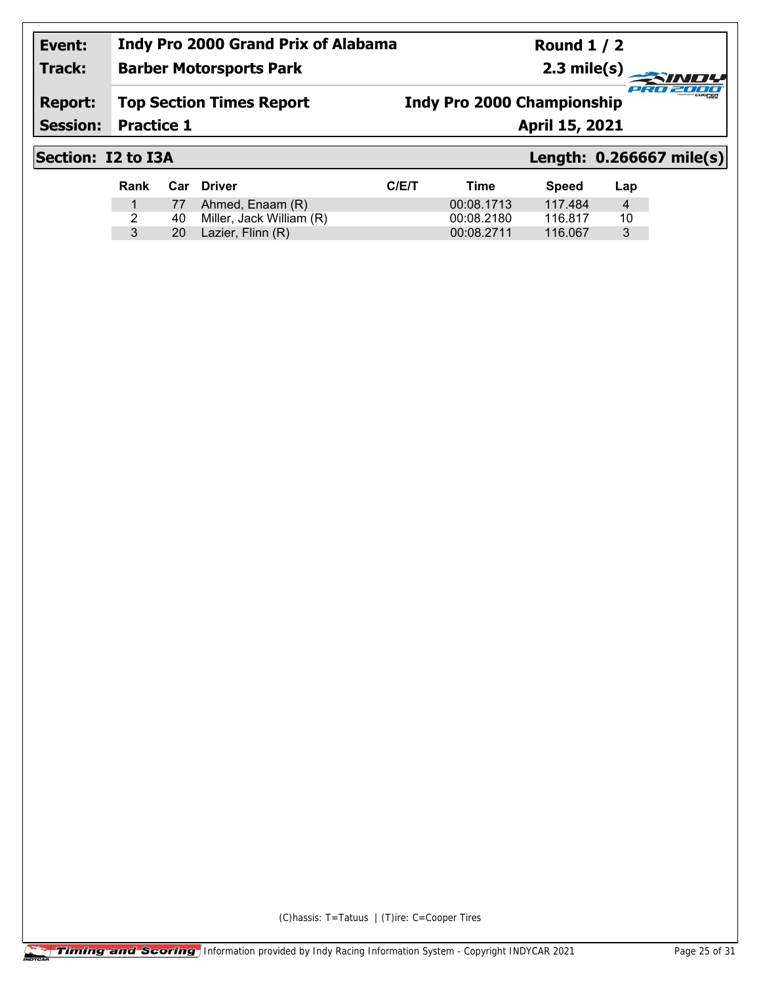**Round 1 / 2 2.3 mile(s)**

## **Track: Barber Motorsports Park**

**Report: Top Section Times Report** **Indy Pro 2000 Championship**

**Session:**

**Practice 1 April 15, 2021** 

# **Section: I2 to I3A Length: 0.266667 mile(s)**

cian.

2000

| Rank |     | Car Driver               | C/ET | Time       | <b>Speed</b> | Lap |
|------|-----|--------------------------|------|------------|--------------|-----|
|      |     | 77 Ahmed, Enaam (R)      |      | 00:08.1713 | 117.484      | 4   |
|      | 40. | Miller, Jack William (R) |      | 00:08.2180 | 116.817      | 10  |
|      |     | 20 Lazier, Flinn (R)     |      | 00:08.2711 | 116.067      | 3   |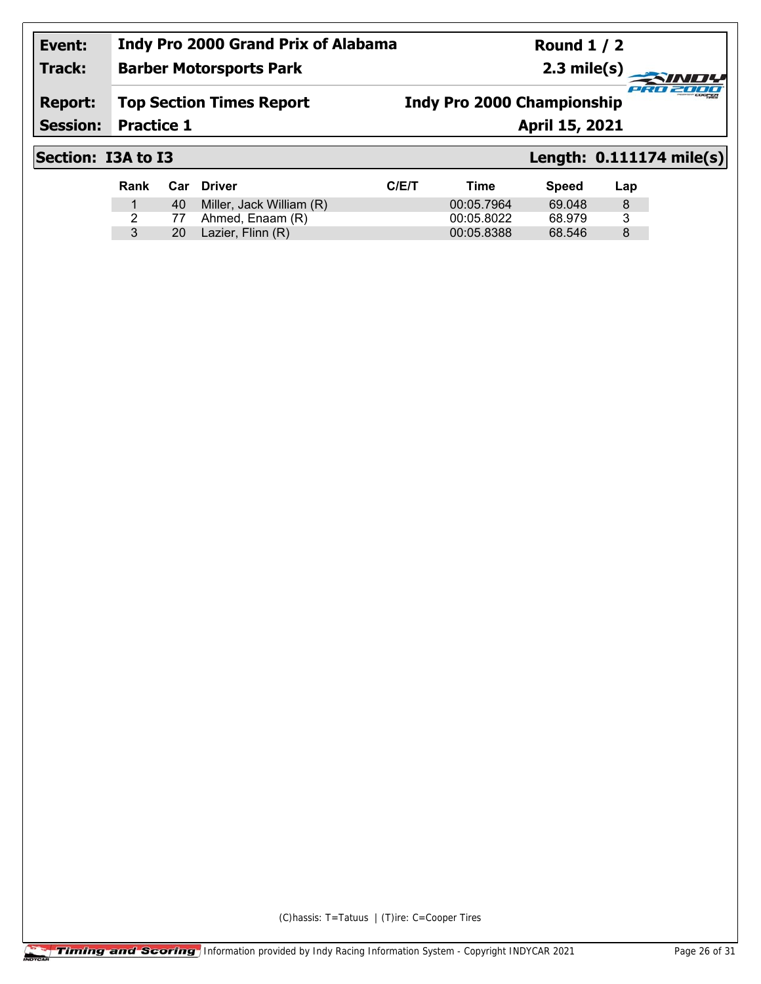**Round 1 / 2 2.3 mile(s)**

## **Track: Barber Motorsports Park**

**Report: Top Section Times Report** **Indy Pro 2000 Championship**

**Practice 1 April 15, 2021** 

**Session:**

## **Section: I3A to I3 Length: 0.111174 mile(s)**

cian.

2000

| Rank |    | Car Driver               | C/ET | Time       | Speed  | Lap |
|------|----|--------------------------|------|------------|--------|-----|
|      | 40 | Miller, Jack William (R) |      | 00:05.7964 | 69.048 | 8   |
|      |    | 77 Ahmed, Enaam (R)      |      | 00:05.8022 | 68.979 | 3   |
|      |    | 20 Lazier, Flinn (R)     |      | 00:05.8388 | 68.546 | 8   |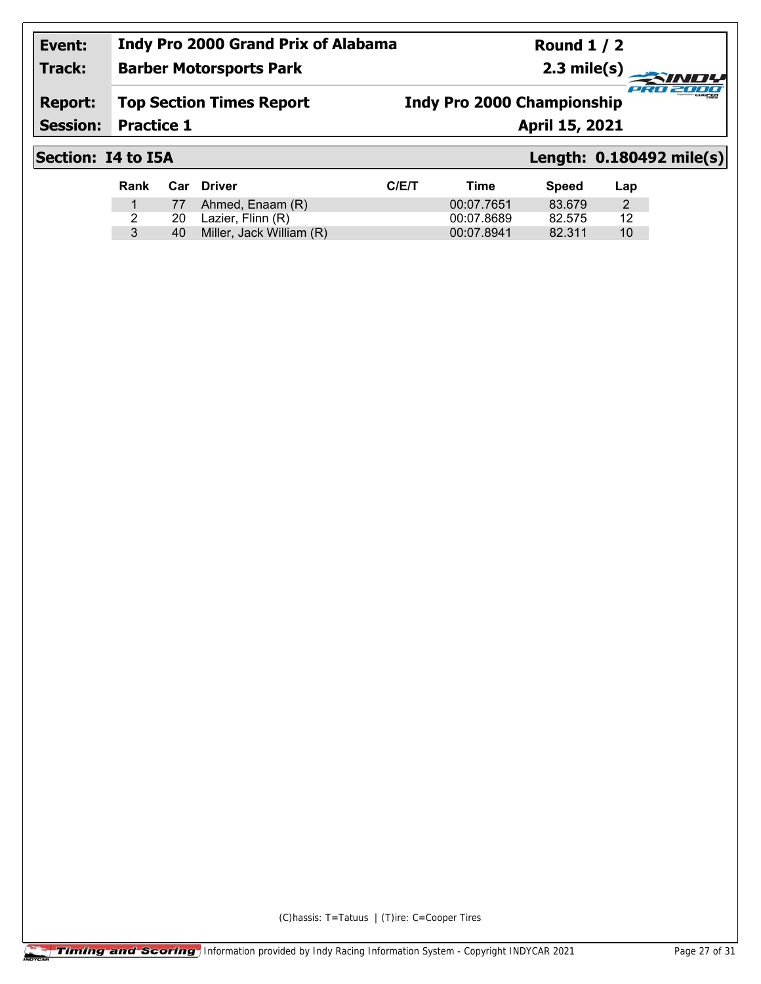#### **Event: Track: Indy Pro 2000 Grand Prix of Alabama Barber Motorsports Park**

**Round 1 / 2 2.3 mile(s)**

**Report: Top Section Times Report**

**Indy Pro 2000 Championship**

**Session:**

**Practice 1 April 15, 2021** 

# **Section: I4 to I5A Length: 0.180492 mile(s)**

cian.

2000

| Rank |    | <b>Car Driver</b>        | C/ET | Time       | Speed  | Lap |
|------|----|--------------------------|------|------------|--------|-----|
|      |    | 77 Ahmed, Enaam (R)      |      | 00:07.7651 | 83.679 |     |
|      |    | 20 Lazier, Flinn (R)     |      | 00:07.8689 | 82.575 | 12  |
|      | 40 | Miller, Jack William (R) |      | 00:07.8941 | 82.311 | 10  |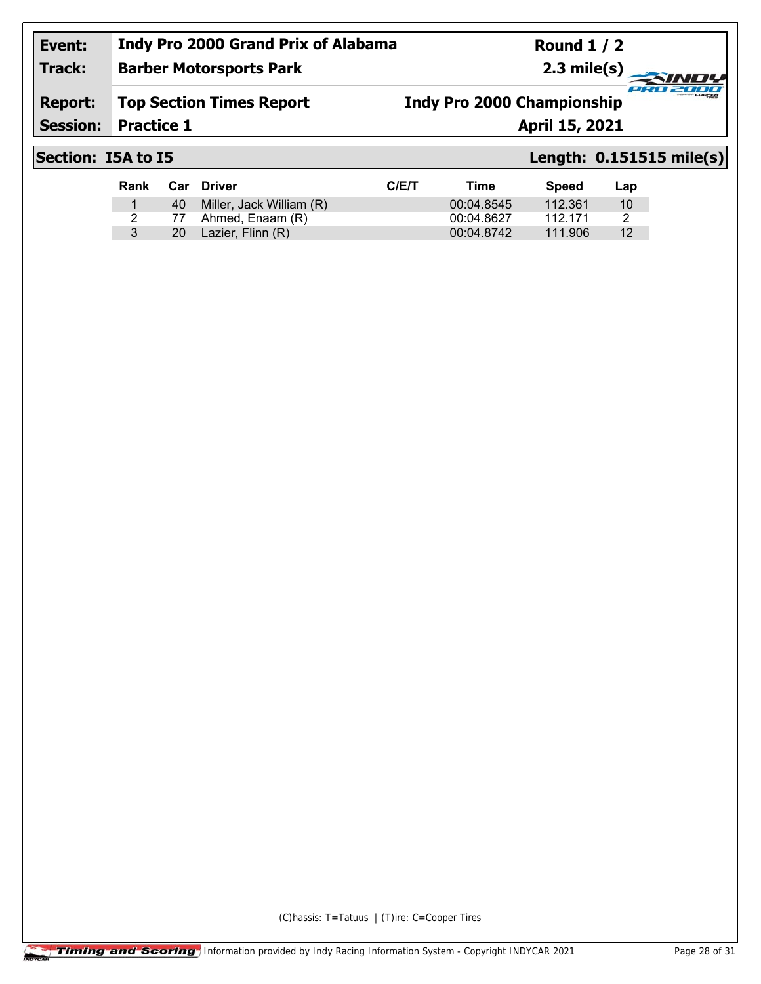**Barber Motorsports Park**

**Round 1 / 2 2.3 mile(s)**

#### **Report: Top Section Times Report**

## **Indy Pro 2000 Championship**

**Session:**

**Practice 1 April 15, 2021** 

**Track:**

## **Section: I5A to I5 Length: 0.151515 mile(s)**

cian.

2000

| Rank | Car Driver                  | C/ET | Time       | <b>Speed</b> | Lap |
|------|-----------------------------|------|------------|--------------|-----|
|      | 40 Miller, Jack William (R) |      | 00:04.8545 | 112.361      | 10  |
|      | 77 Ahmed, Enaam (R)         |      | 00:04.8627 | 112 171      |     |
|      | 20 Lazier, Flinn (R)        |      | 00:04.8742 | 111.906      | 12  |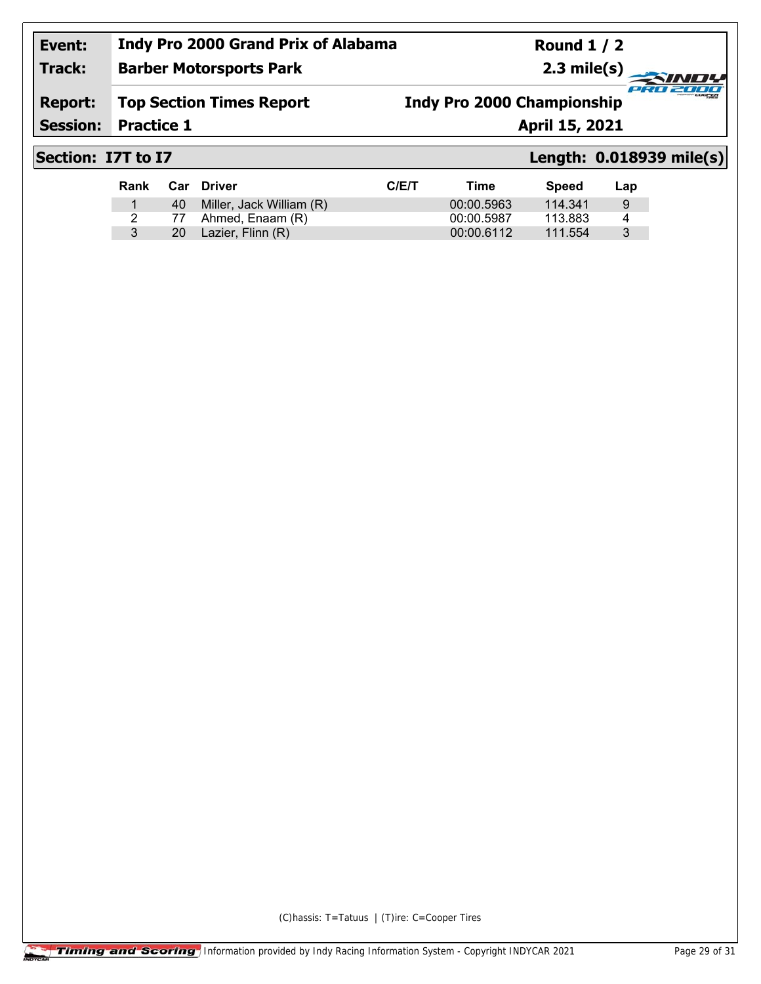**Barber Motorsports Park**

**Round 1 / 2 2.3 mile(s)**

## **Report: Top Section Times Report**

**Indy Pro 2000 Championship**

**Session:**

**Practice 1 April 15, 2021** 

**Track:**

# **Section: I7T to I7 Length: 0.018939 mile(s)**

cian.

2000

| Rank |    | Car Driver                  | C/ET | Time       | Speed   | Lap |
|------|----|-----------------------------|------|------------|---------|-----|
|      |    | 40 Miller, Jack William (R) |      | 00:00.5963 | 114.341 | 9   |
|      | 77 | Ahmed, Enaam (R)            |      | 00:00.5987 | 113.883 |     |
|      | 20 | Lazier, Flinn (R)           |      | 00:00.6112 | 111.554 |     |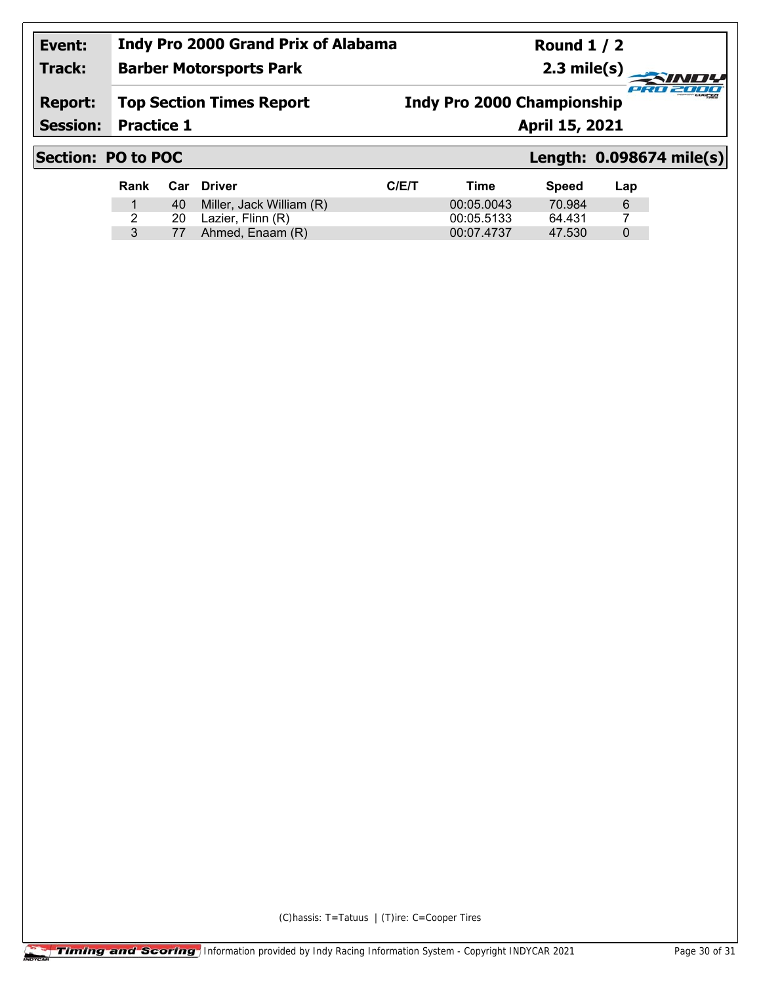**Round 1 / 2 2.3 mile(s)**

## **Track: Barber Motorsports Park**

**Report: Top Section Times Report** **Indy Pro 2000 Championship**

**Session:**

**Practice 1 April 15, 2021** 

# **Section: PO to POC Length: 0.098674 mile(s)**

cian.

2000

| Rank |     | Car Driver               | C/ET | Time       | Speed  | Lap |
|------|-----|--------------------------|------|------------|--------|-----|
|      | 40. | Miller, Jack William (R) |      | 00:05.0043 | 70.984 | -6  |
|      | 20  | Lazier, Flinn (R)        |      | 00:05.5133 | 64.431 |     |
|      | 77  | Ahmed, Enaam (R)         |      | 00:07.4737 | 47.530 | 0   |